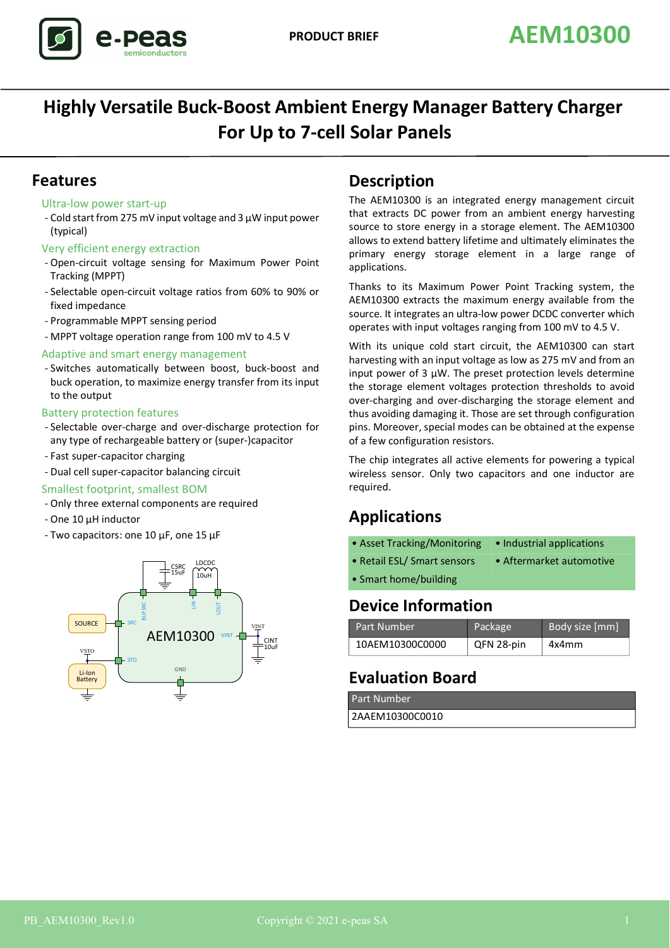

# **Highly Versatile Buck-Boost Ambient Energy Manager Battery Charger For Up to 7-cell Solar Panels**

### **Features**

#### Ultra-low power start-up

- Cold start from 275 mV input voltage and 3 µW input power (typical)

#### Very efficient energy extraction

- Open-circuit voltage sensing for Maximum Power Point Tracking (MPPT)
- Selectable open-circuit voltage ratios from 60% to 90% or fixed impedance
- Programmable MPPT sensing period
- MPPT voltage operation range from 100 mV to 4.5 V

#### Adaptive and smart energy management

- Switches automatically between boost, buck-boost and buck operation, to maximize energy transfer from its input to the output

#### Battery protection features

- Selectable over-charge and over-discharge protection for any type of rechargeable battery or (super-)capacitor
- Fast super-capacitor charging
- Dual cell super-capacitor balancing circuit

#### Smallest footprint, smallest BOM

- Only three external components are required
- One 10 µH inductor
- Two capacitors: one 10 µF, one 15 µF



### **Description**

The AEM10300 is an integrated energy management circuit that extracts DC power from an ambient energy harvesting source to store energy in a storage element. The AEM10300 allows to extend battery lifetime and ultimately eliminates the primary energy storage element in a large range of applications.

Thanks to its Maximum Power Point Tracking system, the AEM10300 extracts the maximum energy available from the source. It integrates an ultra-low power DCDC converter which operates with input voltages ranging from 100 mV to 4.5 V.

With its unique cold start circuit, the AEM10300 can start harvesting with an input voltage as low as 275 mV and from an input power of 3  $\mu$ W. The preset protection levels determine the storage element voltages protection thresholds to avoid over-charging and over-discharging the storage element and thus avoiding damaging it. Those are set through configuration pins. Moreover, special modes can be obtained at the expense of a few configuration resistors.

The chip integrates all active elements for powering a typical wireless sensor. Only two capacitors and one inductor are required.

## **Applications**

- Asset Tracking/Monitoring Industrial applications
- Retail ESL/ Smart sensors Aftermarket automotive
- Smart home/building

### **Device Information**

| Part Number     | Package    | Body size [mm] |
|-----------------|------------|----------------|
| 10AEM10300C0000 | QFN 28-pin | 4x4mm          |

## **Evaluation Board**

| Part Number     |  |
|-----------------|--|
| 2AAEM10300C0010 |  |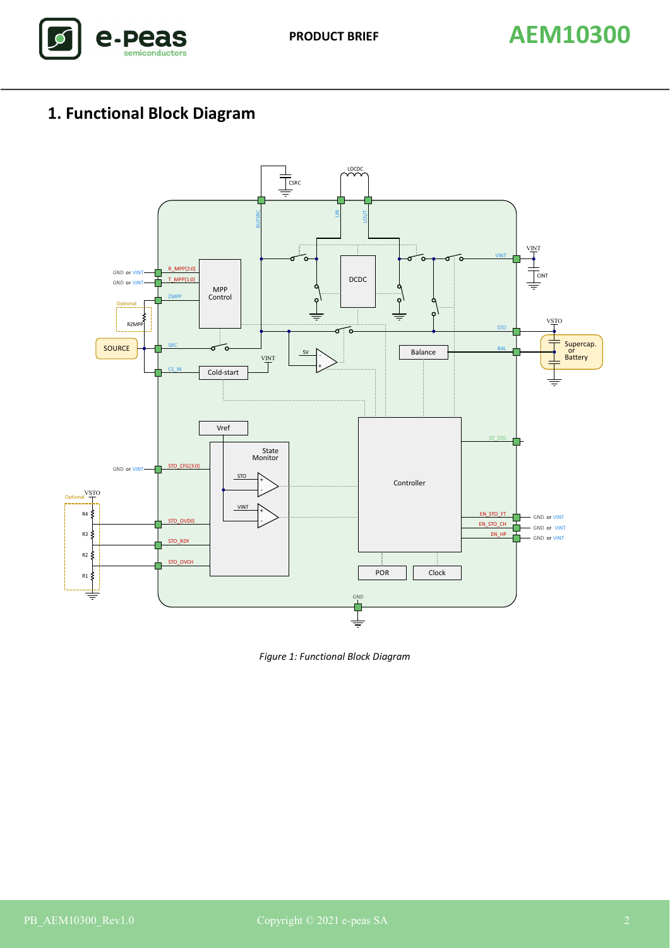

# **1. Functional Block Diagram**



*Figure 1: Functional Block Diagram*